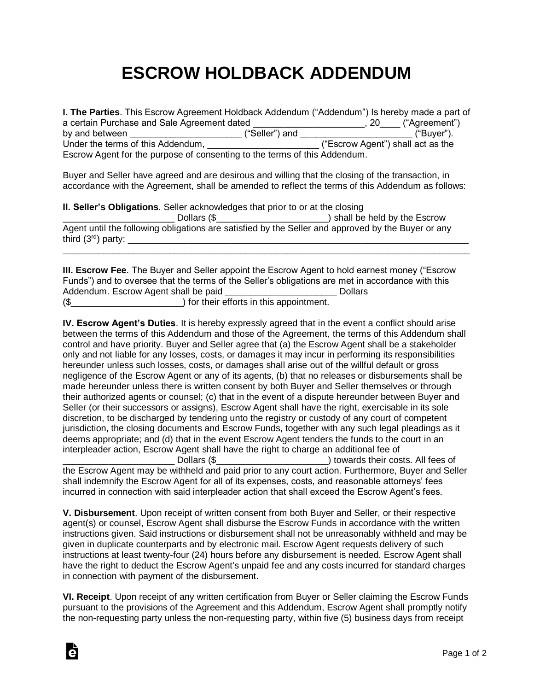## **ESCROW HOLDBACK ADDENDUM**

| I. The Parties. This Escrow Agreement Holdback Addendum ("Addendum") Is hereby made a part of |                |                                   |               |  |
|-----------------------------------------------------------------------------------------------|----------------|-----------------------------------|---------------|--|
| a certain Purchase and Sale Agreement dated                                                   |                | .20                               | ("Agreement") |  |
| by and between                                                                                | ("Seller") and |                                   | ("Buyer").    |  |
| Under the terms of this Addendum,                                                             |                | ("Escrow Agent") shall act as the |               |  |
| Escrow Agent for the purpose of consenting to the terms of this Addendum.                     |                |                                   |               |  |

Buyer and Seller have agreed and are desirous and willing that the closing of the transaction, in accordance with the Agreement, shall be amended to reflect the terms of this Addendum as follows:

|                      | <b>II. Seller's Obligations.</b> Seller acknowledges that prior to or at the closing |                                                                                                    |  |  |
|----------------------|--------------------------------------------------------------------------------------|----------------------------------------------------------------------------------------------------|--|--|
|                      | Dollars (\$                                                                          | ) shall be held by the Escrow                                                                      |  |  |
| third $(3rd)$ party: |                                                                                      | Agent until the following obligations are satisfied by the Seller and approved by the Buyer or any |  |  |

|                                      | <b>III. Escrow Fee</b> . The Buyer and Seller appoint the Escrow Agent to hold earnest money ("Escrow" |                |
|--------------------------------------|--------------------------------------------------------------------------------------------------------|----------------|
|                                      | Funds") and to oversee that the terms of the Seller's obligations are met in accordance with this      |                |
| Addendum. Escrow Agent shall be paid |                                                                                                        | <b>Dollars</b> |
| (                                    | ) for their efforts in this appointment.                                                               |                |

**IV. Escrow Agent's Duties**. It is hereby expressly agreed that in the event a conflict should arise between the terms of this Addendum and those of the Agreement, the terms of this Addendum shall control and have priority. Buyer and Seller agree that (a) the Escrow Agent shall be a stakeholder only and not liable for any losses, costs, or damages it may incur in performing its responsibilities hereunder unless such losses, costs, or damages shall arise out of the willful default or gross negligence of the Escrow Agent or any of its agents, (b) that no releases or disbursements shall be made hereunder unless there is written consent by both Buyer and Seller themselves or through their authorized agents or counsel; (c) that in the event of a dispute hereunder between Buyer and Seller (or their successors or assigns), Escrow Agent shall have the right, exercisable in its sole discretion, to be discharged by tendering unto the registry or custody of any court of competent jurisdiction, the closing documents and Escrow Funds, together with any such legal pleadings as it deems appropriate; and (d) that in the event Escrow Agent tenders the funds to the court in an interpleader action, Escrow Agent shall have the right to charge an additional fee of Dollars (\$  $\sim$  ) towards their costs. All fees of

the Escrow Agent may be withheld and paid prior to any court action. Furthermore, Buyer and Seller shall indemnify the Escrow Agent for all of its expenses, costs, and reasonable attorneys' fees incurred in connection with said interpleader action that shall exceed the Escrow Agent's fees.

**V. Disbursement**. Upon receipt of written consent from both Buyer and Seller, or their respective agent(s) or counsel, Escrow Agent shall disburse the Escrow Funds in accordance with the written instructions given. Said instructions or disbursement shall not be unreasonably withheld and may be given in duplicate counterparts and by electronic mail. Escrow Agent requests delivery of such instructions at least twenty-four (24) hours before any disbursement is needed. Escrow Agent shall have the right to deduct the Escrow Agent's unpaid fee and any costs incurred for standard charges in connection with payment of the disbursement.

**VI. Receipt**. Upon receipt of any written certification from Buyer or Seller claiming the Escrow Funds pursuant to the provisions of the Agreement and this Addendum, Escrow Agent shall promptly notify the non-requesting party unless the non-requesting party, within five (5) business days from receipt

Ġ